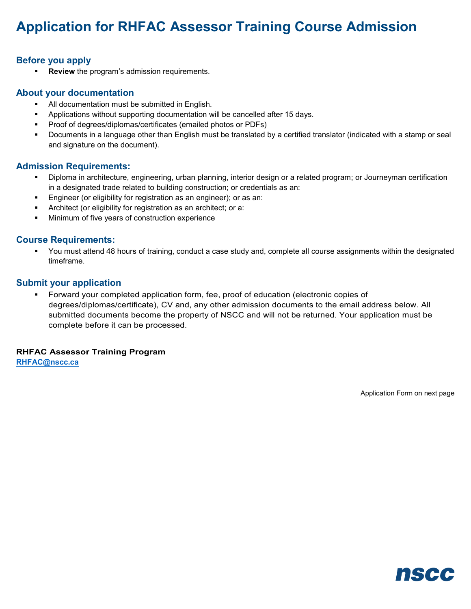# **Application for RHFAC Assessor Training Course Admission**

# **Before you apply**

**Review** the program's admission requirements.

## **About your documentation**

- All documentation must be submitted in English.
- Applications without supporting documentation will be cancelled after 15 days.
- **Proof of degrees/diplomas/certificates (emailed photos or PDFs)**
- Documents in a language other than English must be translated by a certified translator (indicated with a stamp or seal and signature on the document).

## **Admission Requirements:**

- Diploma in architecture, engineering, urban planning, interior design or a related program; or Journeyman certification in a designated trade related to building construction; or credentials as an:
- **Engineer (or eligibility for registration as an engineer); or as an:**
- Architect (or eligibility for registration as an architect; or a:
- **Minimum of five years of construction experience**

## **Course Requirements:**

 You must attend 48 hours of training, conduct a case study and, complete all course assignments within the designated timeframe.

### **Submit your application**

 Forward your completed application form, fee, proof of education (electronic copies of degrees/diplomas/certificate), CV and, any other admission documents to the email address below. All submitted documents become the property of NSCC and will not be returned. Your application must be complete before it can be processed.

### **RHFAC Assessor Training Program**

**[RHFAC@nscc.ca](mailto:RHFAC@nscc.ca)**

Application Form on next page

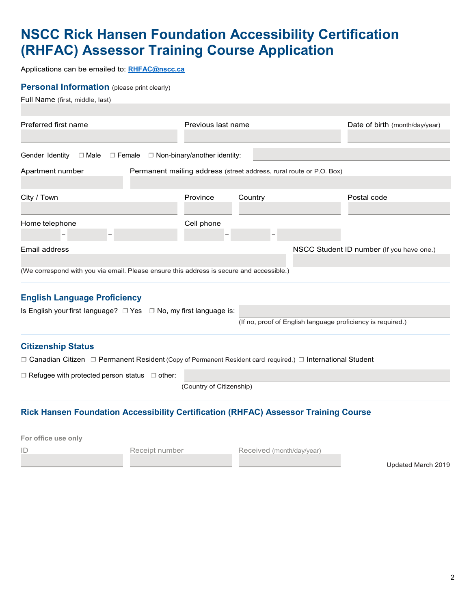# **NSCC Rick Hansen Foundation Accessibility Certification (RHFAC) Assessor Training Course Application**

Applications can be emailed to: **[RHFAC@nscc.ca](mailto:RHFAC@nscc.ca)**

### **Personal Information** (please print clearly)

Full Name (first, middle, last)

| Preferred first name                                                                     | Previous last name                                                  |                                                             | Date of birth (month/day/year)            |
|------------------------------------------------------------------------------------------|---------------------------------------------------------------------|-------------------------------------------------------------|-------------------------------------------|
|                                                                                          |                                                                     |                                                             |                                           |
|                                                                                          |                                                                     |                                                             |                                           |
| Gender Identity<br>□ Male                                                                | $\Box$ Female $\Box$ Non-binary/another identity:                   |                                                             |                                           |
| Apartment number                                                                         | Permanent mailing address (street address, rural route or P.O. Box) |                                                             |                                           |
|                                                                                          |                                                                     |                                                             |                                           |
| City / Town                                                                              | Province                                                            | Country                                                     | Postal code                               |
|                                                                                          |                                                                     |                                                             |                                           |
| Home telephone                                                                           | Cell phone                                                          |                                                             |                                           |
|                                                                                          |                                                                     |                                                             |                                           |
| Email address                                                                            |                                                                     |                                                             | NSCC Student ID number (If you have one.) |
|                                                                                          |                                                                     |                                                             |                                           |
| (We correspond with you via email. Please ensure this address is secure and accessible.) |                                                                     |                                                             |                                           |
|                                                                                          |                                                                     |                                                             |                                           |
| <b>English Language Proficiency</b>                                                      |                                                                     |                                                             |                                           |
| Is English your first language? $\Box$ Yes $\Box$ No, my first language is:              |                                                                     |                                                             |                                           |
|                                                                                          |                                                                     | (If no, proof of English language proficiency is required.) |                                           |

#### **Citizenship Status**

❒ Canadian Citizen ❒ Permanent Resident (Copy of Permanent Resident card required.) ❒ International Student

❒ Refugee with protected person status ❒ other:

(Country of Citizenship)

## **Rick Hansen Foundation Accessibility Certification (RHFAC) Assessor Training Course**

| For office use only |                |                           |                    |
|---------------------|----------------|---------------------------|--------------------|
| ID                  | Receipt number | Received (month/day/year) |                    |
|                     |                |                           | Updated March 2019 |